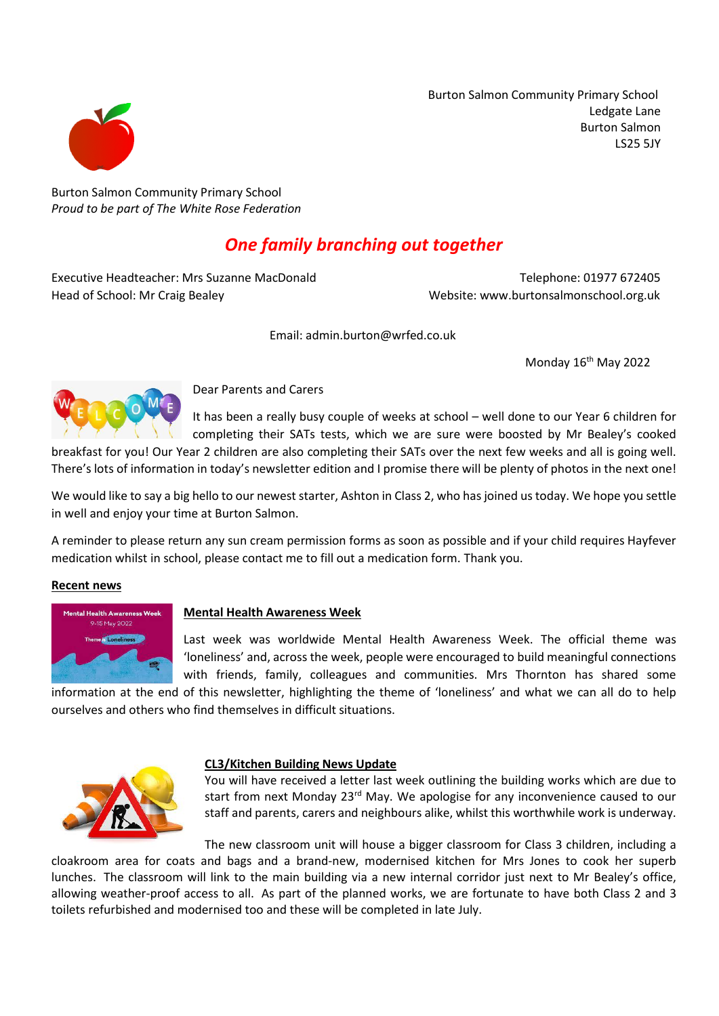Burton Salmon Community Primary School Ledgate Lane Burton Salmon LS25 5JY



Burton Salmon Community Primary School *Proud to be part of The White Rose Federation*

# *One family branching out together*

Executive Headteacher: Mrs Suzanne MacDonald Telephone: 01977 672405 Head of School: Mr Craig Bealey Website: www.burtonsalmonschool.org.uk

Email: admin.burton@wrfed.co.uk

Monday 16<sup>th</sup> May 2022



Dear Parents and Carers

It has been a really busy couple of weeks at school – well done to our Year 6 children for completing their SATs tests, which we are sure were boosted by Mr Bealey's cooked

breakfast for you! Our Year 2 children are also completing their SATs over the next few weeks and all is going well. There's lots of information in today's newsletter edition and I promise there will be plenty of photos in the next one!

We would like to say a big hello to our newest starter, Ashton in Class 2, who hasjoined us today. We hope you settle in well and enjoy your time at Burton Salmon.

A reminder to please return any sun cream permission forms as soon as possible and if your child requires Hayfever medication whilst in school, please contact me to fill out a medication form. Thank you.

#### **Recent news**



### **Mental Health Awareness Week**

Last week was worldwide Mental Health Awareness Week. The official theme was 'loneliness' and, across the week, people were encouraged to build meaningful connections with friends, family, colleagues and communities. Mrs Thornton has shared some

information at the end of this newsletter, highlighting the theme of 'loneliness' and what we can all do to help ourselves and others who find themselves in difficult situations.



### **CL3/Kitchen Building News Update**

You will have received a letter last week outlining the building works which are due to start from next Monday 23<sup>rd</sup> May. We apologise for any inconvenience caused to our staff and parents, carers and neighbours alike, whilst this worthwhile work is underway.

The new classroom unit will house a bigger classroom for Class 3 children, including a cloakroom area for coats and bags and a brand-new, modernised kitchen for Mrs Jones to cook her superb lunches. The classroom will link to the main building via a new internal corridor just next to Mr Bealey's office, allowing weather-proof access to all. As part of the planned works, we are fortunate to have both Class 2 and 3 toilets refurbished and modernised too and these will be completed in late July.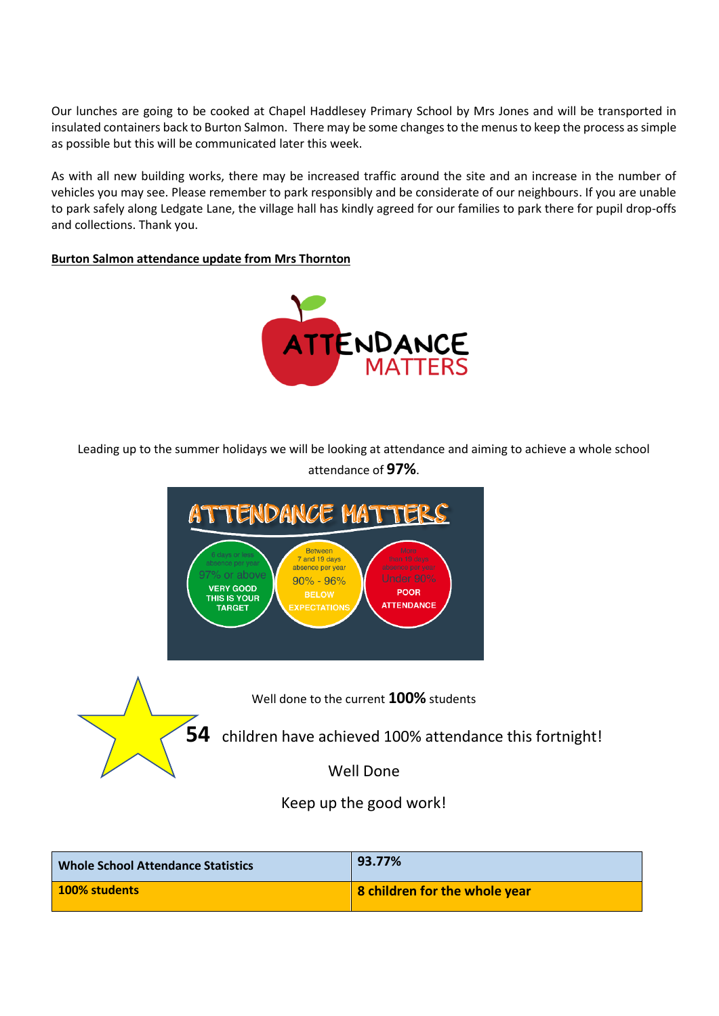Our lunches are going to be cooked at Chapel Haddlesey Primary School by Mrs Jones and will be transported in insulated containers back to Burton Salmon. There may be some changesto the menusto keep the process assimple as possible but this will be communicated later this week.

As with all new building works, there may be increased traffic around the site and an increase in the number of vehicles you may see. Please remember to park responsibly and be considerate of our neighbours. If you are unable to park safely along Ledgate Lane, the village hall has kindly agreed for our families to park there for pupil drop-offs and collections. Thank you.

#### **Burton Salmon attendance update from Mrs Thornton**



Leading up to the summer holidays we will be looking at attendance and aiming to achieve a whole school attendance of **97%**.



**54** children have achieved 100% attendance this fortnight!

Well Done

Keep up the good work!

| <b>Whole School Attendance Statistics</b> | 93.77%                               |
|-------------------------------------------|--------------------------------------|
| 100% students                             | <b>8</b> children for the whole year |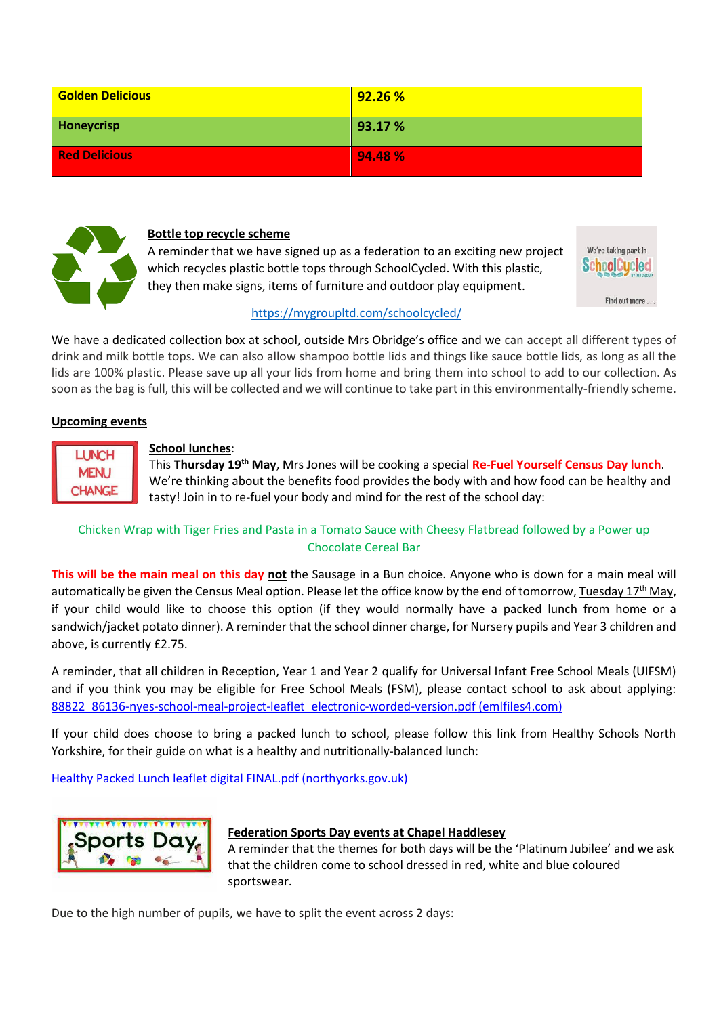| <b>Golden Delicious</b> | 92.26 % |
|-------------------------|---------|
| Honeycrisp              | 93.17 % |
| <b>Red Delicious</b>    | 94.48%  |



#### **Bottle top recycle scheme**

A reminder that we have signed up as a federation to an exciting new project which recycles plastic bottle tops through SchoolCycled. With this plastic, they then make signs, items of furniture and outdoor play equipment.



### <https://mygroupltd.com/schoolcycled/>

We have a dedicated collection box at school, outside Mrs Obridge's office and we can accept all different types of drink and milk bottle tops. We can also allow shampoo bottle lids and things like sauce bottle lids, as long as all the lids are 100% plastic. Please save up all your lids from home and bring them into school to add to our collection. As soon as the bag is full, this will be collected and we will continue to take part in this environmentally-friendly scheme.

### **Upcoming events**

**LUNCH MENU CHANGE** 

### **School lunches**:

This **Thursday 19th May**, Mrs Jones will be cooking a special **Re-Fuel Yourself Census Day lunch**. We're thinking about the benefits food provides the body with and how food can be healthy and tasty! Join in to re-fuel your body and mind for the rest of the school day:

### Chicken Wrap with Tiger Fries and Pasta in a Tomato Sauce with Cheesy Flatbread followed by a Power up Chocolate Cereal Bar

**This will be the main meal on this day not** the Sausage in a Bun choice. Anyone who is down for a main meal will automatically be given the Census Meal option. Please let the office know by the end of tomorrow, Tuesday 17<sup>th</sup> May, if your child would like to choose this option (if they would normally have a packed lunch from home or a sandwich/jacket potato dinner). A reminder that the school dinner charge, for Nursery pupils and Year 3 children and above, is currently £2.75.

A reminder, that all children in Reception, Year 1 and Year 2 qualify for Universal Infant Free School Meals (UIFSM) and if you think you may be eligible for Free School Meals (FSM), please contact school to ask about applying: [88822\\_86136-nyes-school-meal-project-leaflet\\_electronic-worded-version.pdf \(emlfiles4.com\)](https://i.emlfiles4.com/cmpdoc/9/9/7/1/0/2/files/88822_86136-nyes-school-meal-project-leaflet_electronic-worded-version.pdf?utm_campaign=2148695_Free%20School%20Meals%20Leaflet&utm_medium=email&utm_source=North%20Yorks%20County%20Council&dm_i=4BPJ,1A1XZ,6OK1EC,5WF3G,1)

If your child does choose to bring a packed lunch to school, please follow this link from Healthy Schools North Yorkshire, for their guide on what is a healthy and nutritionally-balanced lunch:

[Healthy Packed Lunch leaflet digital FINAL.pdf \(northyorks.gov.uk\)](https://cyps.northyorks.gov.uk/sites/default/files/Noticeboard/Red%20bag/Attachments/2022/Healthy%20Packed%20Lunch%20leaflet%20digital%20FINAL.pdf?utm_campaign=2115895_CYPS%20eRed%20Bag%20-%2018%20February%202022&utm_medium=email&utm_source=North%20Yorks%20County%20Council&dm_i=4BPJ,19CMV,4X1WEP,5SZ7X,1)



### **Federation Sports Day events at Chapel Haddlesey**

A reminder that the themes for both days will be the 'Platinum Jubilee' and we ask that the children come to school dressed in red, white and blue coloured sportswear.

Due to the high number of pupils, we have to split the event across 2 days: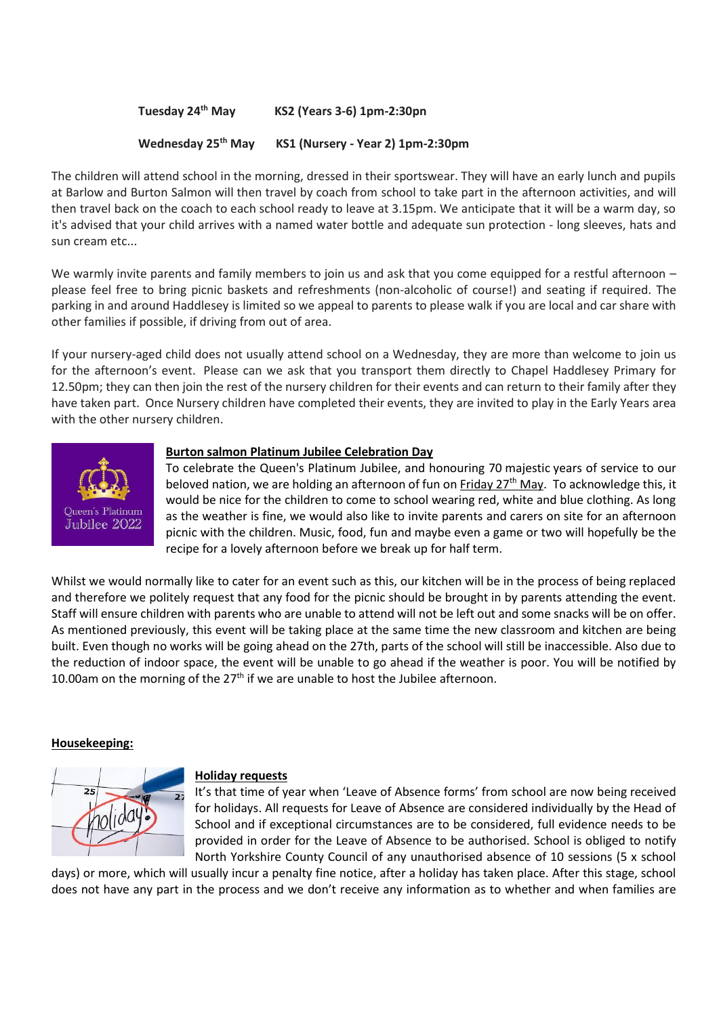### **Tuesday 24th May KS2 (Years 3-6) 1pm-2:30pn**

#### **Wednesday 25th May KS1 (Nursery - Year 2) 1pm-2:30pm**

The children will attend school in the morning, dressed in their sportswear. They will have an early lunch and pupils at Barlow and Burton Salmon will then travel by coach from school to take part in the afternoon activities, and will then travel back on the coach to each school ready to leave at 3.15pm. We anticipate that it will be a warm day, so it's advised that your child arrives with a named water bottle and adequate sun protection - long sleeves, hats and sun cream etc...

We warmly invite parents and family members to join us and ask that you come equipped for a restful afternoon – please feel free to bring picnic baskets and refreshments (non-alcoholic of course!) and seating if required. The parking in and around Haddlesey is limited so we appeal to parents to please walk if you are local and car share with other families if possible, if driving from out of area.

If your nursery-aged child does not usually attend school on a Wednesday, they are more than welcome to join us for the afternoon's event. Please can we ask that you transport them directly to Chapel Haddlesey Primary for 12.50pm; they can then join the rest of the nursery children for their events and can return to their family after they have taken part. Once Nursery children have completed their events, they are invited to play in the Early Years area with the other nursery children.



#### **Burton salmon Platinum Jubilee Celebration Day**

To celebrate the Queen's Platinum Jubilee, and honouring 70 majestic years of service to our beloved nation, we are holding an afternoon of fun on Friday  $27<sup>th</sup>$  May. To acknowledge this, it would be nice for the children to come to school wearing red, white and blue clothing. As long as the weather is fine, we would also like to invite parents and carers on site for an afternoon picnic with the children. Music, food, fun and maybe even a game or two will hopefully be the recipe for a lovely afternoon before we break up for half term.

Whilst we would normally like to cater for an event such as this, our kitchen will be in the process of being replaced and therefore we politely request that any food for the picnic should be brought in by parents attending the event. Staff will ensure children with parents who are unable to attend will not be left out and some snacks will be on offer. As mentioned previously, this event will be taking place at the same time the new classroom and kitchen are being built. Even though no works will be going ahead on the 27th, parts of the school will still be inaccessible. Also due to the reduction of indoor space, the event will be unable to go ahead if the weather is poor. You will be notified by 10.00am on the morning of the  $27<sup>th</sup>$  if we are unable to host the Jubilee afternoon.

#### **Housekeeping:**



#### **Holiday requests**

It's that time of year when 'Leave of Absence forms' from school are now being received for holidays. All requests for Leave of Absence are considered individually by the Head of School and if exceptional circumstances are to be considered, full evidence needs to be provided in order for the Leave of Absence to be authorised. School is obliged to notify North Yorkshire County Council of any unauthorised absence of 10 sessions (5 x school

days) or more, which will usually incur a penalty fine notice, after a holiday has taken place. After this stage, school does not have any part in the process and we don't receive any information as to whether and when families are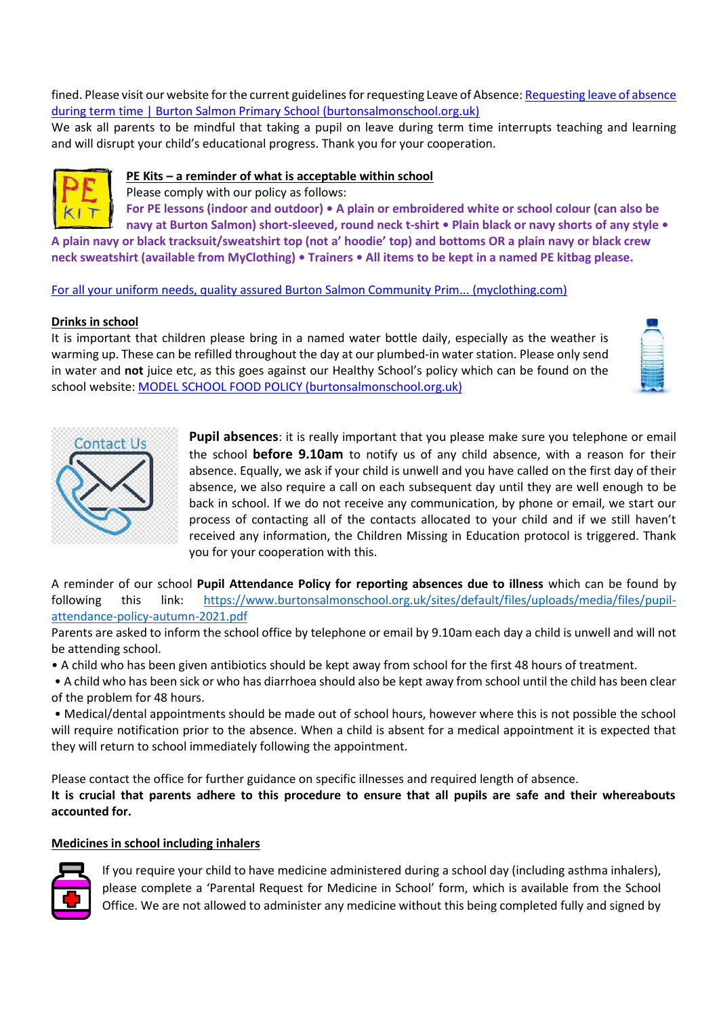fined. Please visit our website for the current guidelines for requesting Leave of Absence[: Requesting leave of absence](https://www.burtonsalmonschool.org.uk/parents/pupil-attendance/requesting-leave-absence-during-term-time)  [during term time | Burton Salmon Primary School \(burtonsalmonschool.org.uk\)](https://www.burtonsalmonschool.org.uk/parents/pupil-attendance/requesting-leave-absence-during-term-time)

We ask all parents to be mindful that taking a pupil on leave during term time interrupts teaching and learning and will disrupt your child's educational progress. Thank you for your cooperation.



### **PE Kits – a reminder of what is acceptable within school**

Please comply with our policy as follows:

**For PE lessons (indoor and outdoor) • A plain or embroidered white or school colour (can also be** 

**navy at Burton Salmon) short-sleeved, round neck t-shirt • Plain black or navy shorts of any style • A plain navy or black tracksuit/sweatshirt top (not a' hoodie' top) and bottoms OR a plain navy or black crew neck sweatshirt (available from MyClothing) • Trainers • All items to be kept in a named PE kitbag please.** 

[For all your uniform needs, quality assured Burton Salmon Community Prim... \(myclothing.com\)](https://myclothing.com/burton-salmon-community-primary-school/5807.school)

#### **Drinks in school**

It is important that children please bring in a named water bottle daily, especially as the weather is warming up. These can be refilled throughout the day at our plumbed-in water station. Please only send in water and **not** juice etc, as this goes against our Healthy School's policy which can be found on the school website: [MODEL SCHOOL FOOD POLICY \(burtonsalmonschool.org.uk\)](https://www.burtonsalmonschool.org.uk/sites/default/files/uploads/media/files/food_policy_autumn_2020.pdf)



**Pupil absences**: it is really important that you please make sure you telephone or email the school **before 9.10am** to notify us of any child absence, with a reason for their absence. Equally, we ask if your child is unwell and you have called on the first day of their absence, we also require a call on each subsequent day until they are well enough to be back in school. If we do not receive any communication, by phone or email, we start our process of contacting all of the contacts allocated to your child and if we still haven't received any information, the Children Missing in Education protocol is triggered. Thank you for your cooperation with this.

A reminder of our school **Pupil Attendance Policy for reporting absences due to illness** which can be found by following this link: [https://www.burtonsalmonschool.org.uk/sites/default/files/uploads/media/files/pupil](https://www.burtonsalmonschool.org.uk/sites/default/files/uploads/media/files/pupil-attendance-policy-autumn-2021.pdf)[attendance-policy-autumn-2021.pdf](https://www.burtonsalmonschool.org.uk/sites/default/files/uploads/media/files/pupil-attendance-policy-autumn-2021.pdf)

Parents are asked to inform the school office by telephone or email by 9.10am each day a child is unwell and will not be attending school.

• A child who has been given antibiotics should be kept away from school for the first 48 hours of treatment.

• A child who has been sick or who has diarrhoea should also be kept away from school until the child has been clear of the problem for 48 hours.

• Medical/dental appointments should be made out of school hours, however where this is not possible the school will require notification prior to the absence. When a child is absent for a medical appointment it is expected that they will return to school immediately following the appointment.

Please contact the office for further guidance on specific illnesses and required length of absence.

**It is crucial that parents adhere to this procedure to ensure that all pupils are safe and their whereabouts accounted for.**

### **Medicines in school including inhalers**



If you require your child to have medicine administered during a school day (including asthma inhalers), please complete a 'Parental Request for Medicine in School' form, which is available from the School Office. We are not allowed to administer any medicine without this being completed fully and signed by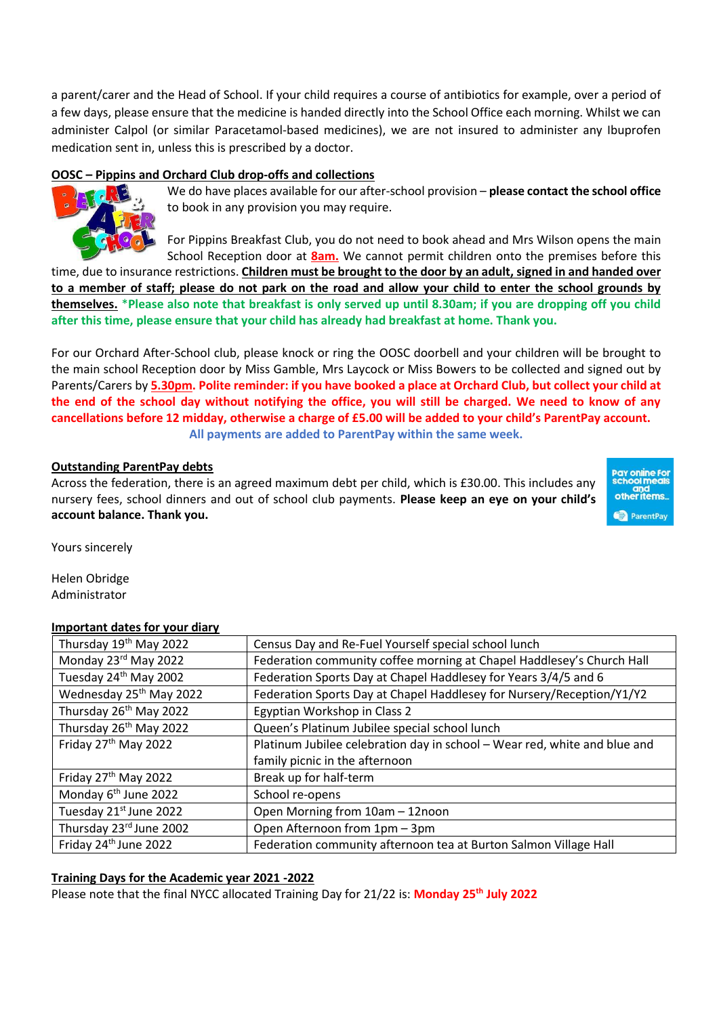a parent/carer and the Head of School. If your child requires a course of antibiotics for example, over a period of a few days, please ensure that the medicine is handed directly into the School Office each morning. Whilst we can administer Calpol (or similar Paracetamol-based medicines), we are not insured to administer any Ibuprofen medication sent in, unless this is prescribed by a doctor.

### **OOSC – Pippins and Orchard Club drop-offs and collections**



We do have places available for our after-school provision – **please contact the school office** to book in any provision you may require.

For Pippins Breakfast Club, you do not need to book ahead and Mrs Wilson opens the main School Reception door at **8am.** We cannot permit children onto the premises before this

time, due to insurance restrictions. **Children must be brought to the door by an adult, signed in and handed over to a member of staff; please do not park on the road and allow your child to enter the school grounds by themselves.** \***Please also note that breakfast is only served up until 8.30am; if you are dropping off you child after this time, please ensure that your child has already had breakfast at home. Thank you.**

For our Orchard After-School club, please knock or ring the OOSC doorbell and your children will be brought to the main school Reception door by Miss Gamble, Mrs Laycock or Miss Bowers to be collected and signed out by Parents/Carers by **5.30pm. Polite reminder: if you have booked a place at Orchard Club, but collect your child at the end of the school day without notifying the office, you will still be charged. We need to know of any cancellations before 12 midday, otherwise a charge of £5.00 will be added to your child's ParentPay account. All payments are added to ParentPay within the same week.**

#### **Outstanding ParentPay debts**

Across the federation, there is an agreed maximum debt per child, which is £30.00. This includes any nursery fees, school dinners and out of school club payments. **Please keep an eye on your child's account balance. Thank you.**



Yours sincerely

Helen Obridge Administrator

#### **Important dates for your diary**

| Thursday 19th May 2022              | Census Day and Re-Fuel Yourself special school lunch                      |
|-------------------------------------|---------------------------------------------------------------------------|
| Monday 23rd May 2022                | Federation community coffee morning at Chapel Haddlesey's Church Hall     |
| Tuesday 24th May 2002               | Federation Sports Day at Chapel Haddlesey for Years 3/4/5 and 6           |
| Wednesday 25 <sup>th</sup> May 2022 | Federation Sports Day at Chapel Haddlesey for Nursery/Reception/Y1/Y2     |
| Thursday 26 <sup>th</sup> May 2022  | Egyptian Workshop in Class 2                                              |
| Thursday 26 <sup>th</sup> May 2022  | Queen's Platinum Jubilee special school lunch                             |
| Friday 27 <sup>th</sup> May 2022    | Platinum Jubilee celebration day in school - Wear red, white and blue and |
|                                     | family picnic in the afternoon                                            |
| Friday 27 <sup>th</sup> May 2022    | Break up for half-term                                                    |
| Monday 6 <sup>th</sup> June 2022    | School re-opens                                                           |
| Tuesday 21st June 2022              | Open Morning from 10am - 12noon                                           |
| Thursday 23rd June 2002             | Open Afternoon from 1pm - 3pm                                             |
| Friday 24 <sup>th</sup> June 2022   | Federation community afternoon tea at Burton Salmon Village Hall          |

#### **Training Days for the Academic year 2021 -2022**

Please note that the final NYCC allocated Training Day for 21/22 is: **Monday 25 th July 2022**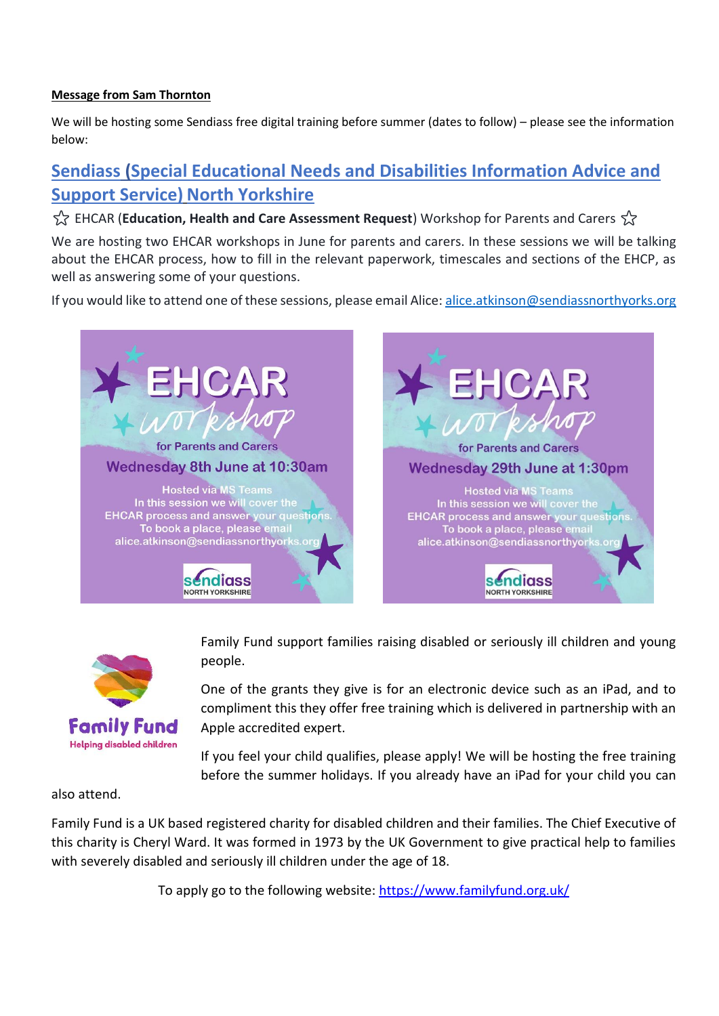### **Message from Sam Thornton**

We will be hosting some Sendiass free digital training before summer (dates to follow) – please see the information below:

# **Sendiass [\(Special Educational Needs and Disabilities Information Advice and](https://www.facebook.com/sendiassnorthyorks?hc_ref=ARQoLKcIreBi_2uYb9vz6oZ5lrcU9Vc4qLlj9V6mcxD3648IRpd4yGU7oe-t41NzaTI&fref=nf&__xts__%5B0%5D=68.ARCOb7KAkhRAasfpqCec-jm7m9i2ahj3UqzK0Ga0sXtypBN9vLSsENoFDis2dRn8YBqAE9E4PTZp15wNxyr9C1AKvHfZ0xyPg6zw9p8VGgJp_dmwpaUoixg5ikqTuRacLpsjIoIOtwK-9jhEgBdoxwobSKurjNrYi6qO6vR25SxiFrpvbXY8YpKR2sqY-eDeTGTsCx9k-vFs86wHYquKzGMmapVaN7Rl_v2j6eKQXwGErW5V5K_DvzaNhPQ-ENT1pQ6WtkHMKFTOOLcSRHswz1P8nZ-m-wpF8kJZdrIzj5XpkhP5qSY&__tn__=C-R)  [Support Service\)](https://www.facebook.com/sendiassnorthyorks?hc_ref=ARQoLKcIreBi_2uYb9vz6oZ5lrcU9Vc4qLlj9V6mcxD3648IRpd4yGU7oe-t41NzaTI&fref=nf&__xts__%5B0%5D=68.ARCOb7KAkhRAasfpqCec-jm7m9i2ahj3UqzK0Ga0sXtypBN9vLSsENoFDis2dRn8YBqAE9E4PTZp15wNxyr9C1AKvHfZ0xyPg6zw9p8VGgJp_dmwpaUoixg5ikqTuRacLpsjIoIOtwK-9jhEgBdoxwobSKurjNrYi6qO6vR25SxiFrpvbXY8YpKR2sqY-eDeTGTsCx9k-vFs86wHYquKzGMmapVaN7Rl_v2j6eKQXwGErW5V5K_DvzaNhPQ-ENT1pQ6WtkHMKFTOOLcSRHswz1P8nZ-m-wpF8kJZdrIzj5XpkhP5qSY&__tn__=C-R) North Yorkshire**

 $\frac{A}{2}$  EHCAR (**Education, Health and Care Assessment Request**) Workshop for Parents and Carers  $\frac{A}{2}$ 

We are hosting two EHCAR workshops in June for parents and carers. In these sessions we will be talking about the EHCAR process, how to fill in the relevant paperwork, timescales and sections of the EHCP, as well as answering some of your questions.

If you would like to attend one of these sessions, please email Alice[: alice.atkinson@sendiassnorthyorks.org](mailto:alice.atkinson@sendiassnorthyorks.org)





Family Fund support families raising disabled or seriously ill children and young people.

One of the grants they give is for an electronic device such as an iPad, and to compliment this they offer free training which is delivered in partnership with an Apple accredited expert.

If you feel your child qualifies, please apply! We will be hosting the free training before the summer holidays. If you already have an iPad for your child you can

also attend.

Family Fund is a UK based registered charity for disabled children and their families. The Chief Executive of this charity is Cheryl Ward. It was formed in 1973 by the UK Government to give practical help to families with severely disabled and seriously ill children under the age of 18.

To apply go to the following website:<https://www.familyfund.org.uk/>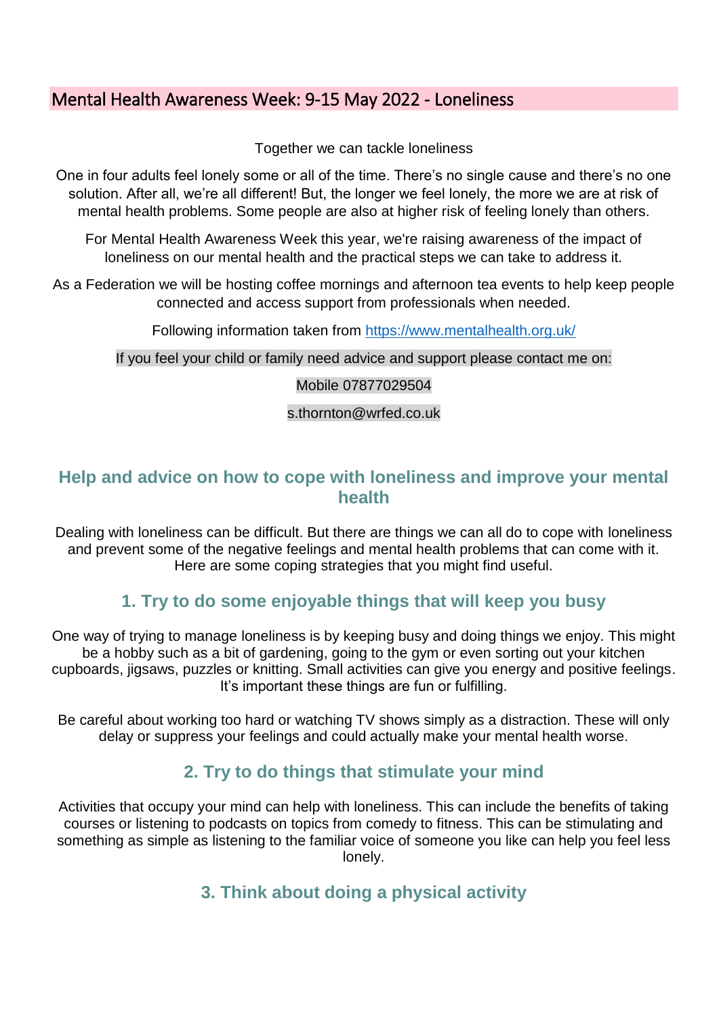## Mental Health Awareness Week: 9-15 May 2022 - Loneliness

Together we can tackle loneliness

One in four adults feel lonely some or all of the time. There's no single cause and there's no one solution. After all, we're all different! But, the longer we feel lonely, the more we are at risk of mental health problems. Some people are also at higher risk of feeling lonely than others.

For Mental Health Awareness Week this year, we're raising awareness of the impact of loneliness on our mental health and the practical steps we can take to address it.

As a Federation we will be hosting coffee mornings and afternoon tea events to help keep people connected and access support from professionals when needed.

Following information taken from<https://www.mentalhealth.org.uk/>

If you feel your child or family need advice and support please contact me on:

### Mobile 07877029504

s.thornton@wrfed.co.uk

## **Help and advice on how to cope with loneliness and improve your mental health**

Dealing with loneliness can be difficult. But there are things we can all do to cope with loneliness and prevent some of the negative feelings and mental health problems that can come with it. Here are some coping strategies that you might find useful.

## **1. Try to do some enjoyable things that will keep you busy**

One way of trying to manage loneliness is by keeping busy and doing things we enjoy. This might be a hobby such as a bit of gardening, going to the gym or even sorting out your kitchen cupboards, jigsaws, puzzles or knitting. Small activities can give you energy and positive feelings. It's important these things are fun or fulfilling.

Be careful about working too hard or watching TV shows simply as a distraction. These will only delay or suppress your feelings and could actually make your mental health worse.

## **2. Try to do things that stimulate your mind**

Activities that occupy your mind can help with loneliness. This can include the benefits of taking courses or listening to podcasts on topics from comedy to fitness. This can be stimulating and something as simple as listening to the familiar voice of someone you like can help you feel less lonely.

## **3. Think about doing a physical activity**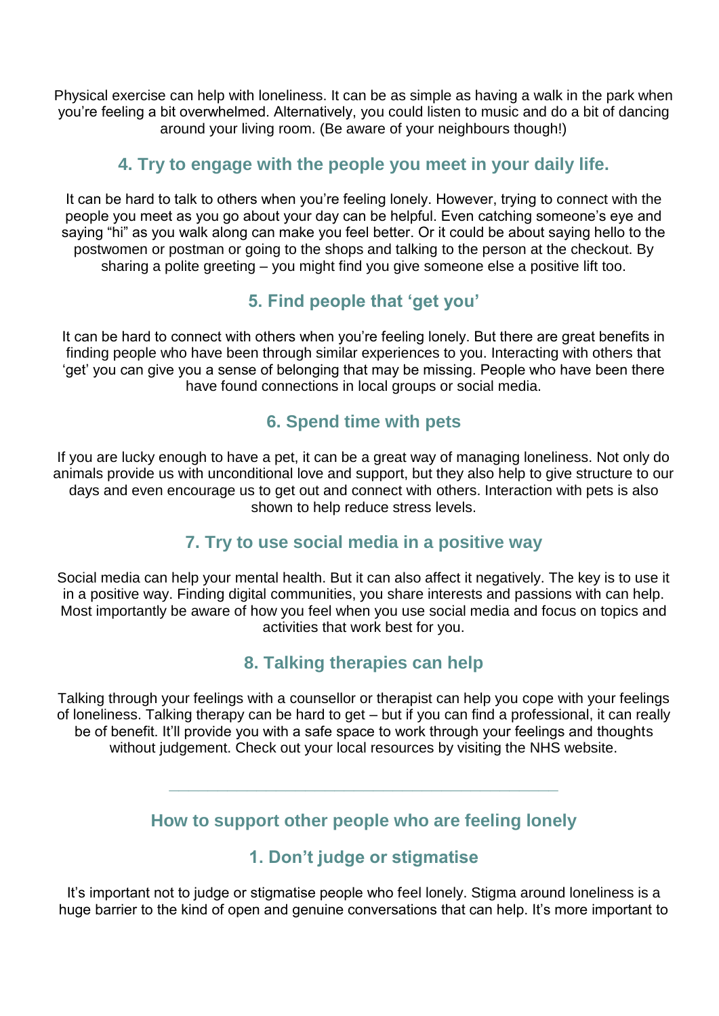Physical exercise can help with loneliness. It can be as simple as having a walk in the park when you're feeling a bit overwhelmed. Alternatively, you could listen to music and do a bit of dancing around your living room. (Be aware of your neighbours though!)

### **4. Try to engage with the people you meet in your daily life.**

It can be hard to talk to others when you're feeling lonely. However, trying to connect with the people you meet as you go about your day can be helpful. Even catching someone's eye and saying "hi" as you walk along can make you feel better. Or it could be about saying hello to the postwomen or postman or going to the shops and talking to the person at the checkout. By sharing a polite greeting – you might find you give someone else a positive lift too.

## **5. Find people that 'get you'**

It can be hard to connect with others when you're feeling lonely. But there are great benefits in finding people who have been through similar experiences to you. Interacting with others that 'get' you can give you a sense of belonging that may be missing. People who have been there have found connections in local groups or social media.

## **6. Spend time with pets**

If you are lucky enough to have a pet, it can be a great way of managing loneliness. Not only do animals provide us with unconditional love and support, but they also help to give structure to our days and even encourage us to get out and connect with others. Interaction with pets is also shown to help reduce stress levels.

## **7. Try to use social media in a positive way**

Social media can help your mental health. But it can also affect it negatively. The key is to use it in a positive way. Finding digital communities, you share interests and passions with can help. Most importantly be aware of how you feel when you use social media and focus on topics and activities that work best for you.

## **8. Talking therapies can help**

Talking through your feelings with a counsellor or therapist can help you cope with your feelings of loneliness. Talking therapy can be hard to get – but if you can find a professional, it can really be of benefit. It'll provide you with a safe space to work through your feelings and thoughts without judgement. Check out your local resources by visiting the NHS website.

## **How to support other people who are feeling lonely**

**\_\_\_\_\_\_\_\_\_\_\_\_\_\_\_\_\_\_\_\_\_\_\_\_\_\_\_\_\_\_\_\_\_\_\_\_\_\_\_\_**

## **1. Don't judge or stigmatise**

It's important not to judge or stigmatise people who feel lonely. Stigma around loneliness is a huge barrier to the kind of open and genuine conversations that can help. It's more important to